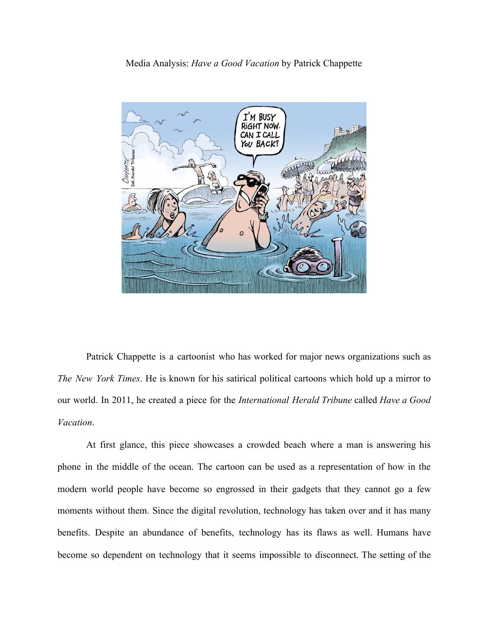## Media Analysis: *Have a Good Vacation* by Patrick Chappette



Patrick Chappette is a cartoonist who has worked for major news organizations such as *The New York Times*. He is known for his satirical political cartoons which hold up a mirror to our world. In 2011, he created a piece for the *International Herald Tribune* called *Have a Good Vacation*.

At first glance, this piece showcases a crowded beach where a man is answering his phone in the middle of the ocean. The cartoon can be used as a representation of how in the modern world people have become so engrossed in their gadgets that they cannot go a few moments without them. Since the digital revolution, technology has taken over and it has many benefits. Despite an abundance of benefits, technology has its flaws as well. Humans have become so dependent on technology that it seems impossible to disconnect. The setting of the